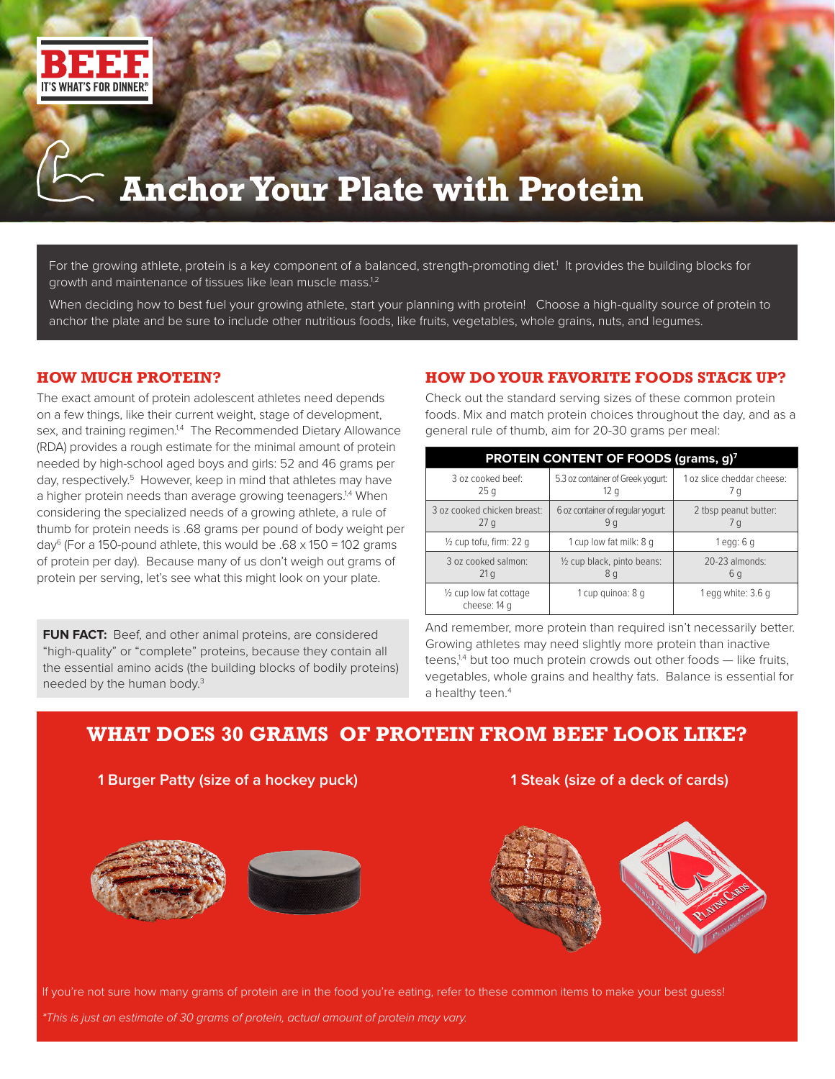

# **Anchor Your Plate with Protein**

For the growing athlete, protein is a key component of a balanced, strength-promoting diet.<sup>1</sup> It provides the building blocks for growth and maintenance of tissues like lean muscle mass.<sup>1,2</sup>

When deciding how to best fuel your growing athlete, start your planning with protein! Choose a high-quality source of protein to anchor the plate and be sure to include other nutritious foods, like fruits, vegetables, whole grains, nuts, and legumes.

### **HOW MUCH PROTEIN?**

The exact amount of protein adolescent athletes need depends on a few things, like their current weight, stage of development, sex, and training regimen.<sup>1,4</sup> The Recommended Dietary Allowance (RDA) provides a rough estimate for the minimal amount of protein needed by high-school aged boys and girls: 52 and 46 grams per day, respectively.<sup>5</sup> However, keep in mind that athletes may have a higher protein needs than average growing teenagers.<sup>1,4</sup> When considering the specialized needs of a growing athlete, a rule of thumb for protein needs is .68 grams per pound of body weight per day<sup>6</sup> (For a 150-pound athlete, this would be  $.68 \times 150 = 102$  grams of protein per day). Because many of us don't weigh out grams of protein per serving, let's see what this might look on your plate.

**FUN FACT:** Beef, and other animal proteins, are considered "high-quality" or "complete" proteins, because they contain all the essential amino acids (the building blocks of bodily proteins) needed by the human body.3

### **HOW DO YOUR FAVORITE FOODS STACK UP?**

Check out the standard serving sizes of these common protein foods. Mix and match protein choices throughout the day, and as a general rule of thumb, aim for 20-30 grams per meal:

| PROTEIN CONTENT OF FOODS (grams, g) <sup>7</sup> |                                   |                            |
|--------------------------------------------------|-----------------------------------|----------------------------|
| 3 oz cooked beef:                                | 5.3 oz container of Greek yogurt: | 1 oz slice cheddar cheese: |
| 25q                                              | 12q                               | 7 g                        |
| 3 oz cooked chicken breast:                      | 6 oz container of regular yogurt: | 2 tbsp peanut butter:      |
| 27 <sub>q</sub>                                  | 9q                                | 7q                         |
| $\frac{1}{2}$ cup tofu, firm: 22 q               | 1 cup low fat milk: 8 g           | $1$ egg: 6 g               |
| 3 oz cooked salmon:                              | 1/2 cup black, pinto beans:       | $20-23$ almonds:           |
| 21 <sub>q</sub>                                  | 8g                                | 6 g                        |
| 1/2 cup low fat cottage<br>cheese: 14 g          | 1 cup quinoa: 8 q                 | 1 egg white: 3.6 g         |

And remember, more protein than required isn't necessarily better. Growing athletes may need slightly more protein than inactive teens, $14$  but too much protein crowds out other foods  $-$  like fruits, vegetables, whole grains and healthy fats. Balance is essential for a healthy teen.<sup>4</sup>

## **WHAT DOES 30 GRAMS OF PROTEIN FROM BEEF LOOK LIKE?**

**1 Burger Patty (size of a hockey puck) 1 Steak (size of a deck of cards)**







If you're not sure how many grams of protein are in the food you're eating, refer to these common items to make your best guess!

*\*This is just an estimate of 30 grams of protein, actual amount of protein may vary.*